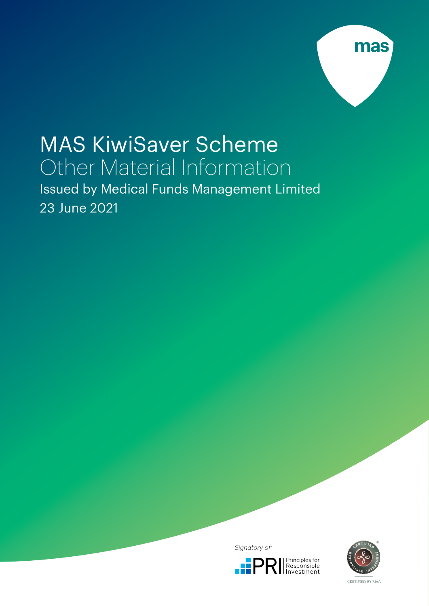

# MAS KiwiSaver Scheme Other Material Information

Issued by Medical Funds Management Limited 23 June 2021

Signatory of:





CERTIFIED BY RIAA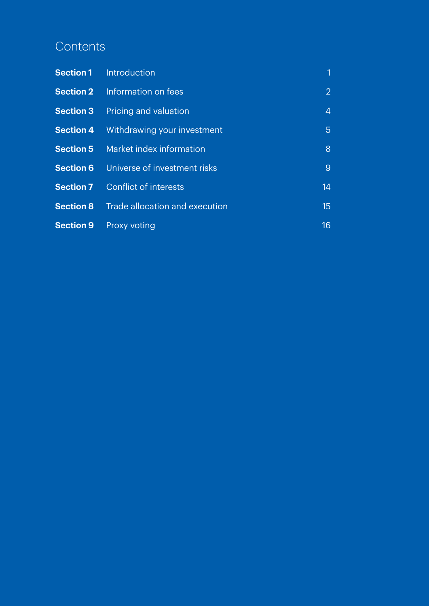# **Contents**

| <b>Section 1</b> | <b>Introduction</b>            | 1              |
|------------------|--------------------------------|----------------|
| <b>Section 2</b> | Information on fees            | $\overline{2}$ |
| <b>Section 3</b> | Pricing and valuation          | $\overline{4}$ |
| <b>Section 4</b> | Withdrawing your investment    | 5              |
| <b>Section 5</b> | Market index information       | 8              |
| <b>Section 6</b> | Universe of investment risks   | 9              |
| <b>Section 7</b> | Conflict of interests          | 14             |
| <b>Section 8</b> | Trade allocation and execution | 15             |
| <b>Section 9</b> | <b>Proxy voting</b>            | 16             |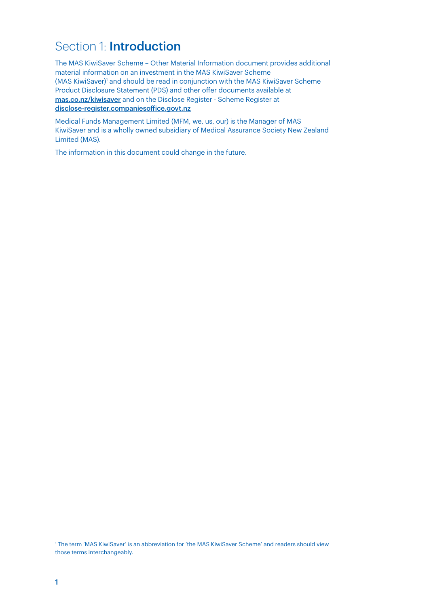# Section 1: **Introduction**

The MAS KiwiSaver Scheme – Other Material Information document provides additional material information on an investment in the MAS KiwiSaver Scheme (MAS KiwiSaver)<sup>1</sup> and should be read in conjunction with the MAS KiwiSaver Scheme Product Disclosure Statement (PDS) and other offer documents available at [mas.co.nz/kiwisaver](http://mas.co.nz/kiwisaver) and on the Disclose Register - Scheme Register at [disclose-register.companiesoffice.govt.nz](http://disclose-register.companiesoffice.govt.nz)

Medical Funds Management Limited (MFM, we, us, our) is the Manager of MAS KiwiSaver and is a wholly owned subsidiary of Medical Assurance Society New Zealand Limited (MAS).

The information in this document could change in the future.

1 The term 'MAS KiwiSaver' is an abbreviation for 'the MAS KiwiSaver Scheme' and readers should view those terms interchangeably.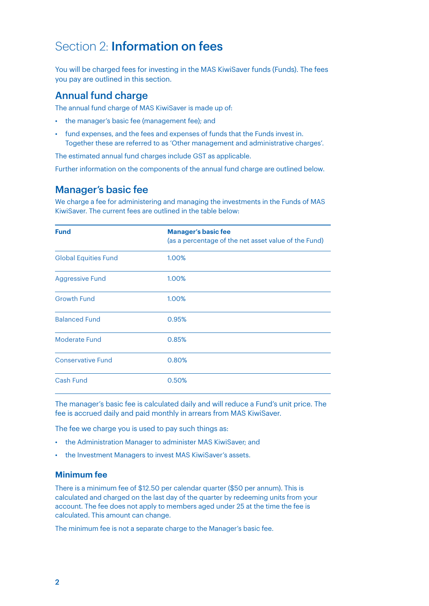### Section 2: Information on fees

You will be charged fees for investing in the MAS KiwiSaver funds (Funds). The fees you pay are outlined in this section.

### Annual fund charge

The annual fund charge of MAS KiwiSaver is made up of:

- the manager's basic fee (management fee); and
- fund expenses, and the fees and expenses of funds that the Funds invest in. Together these are referred to as 'Other management and administrative charges'.

The estimated annual fund charges include GST as applicable.

Further information on the components of the annual fund charge are outlined below.

### Manager's basic fee

We charge a fee for administering and managing the investments in the Funds of MAS KiwiSaver. The current fees are outlined in the table below:

| <b>Fund</b>                 | <b>Manager's basic fee</b><br>(as a percentage of the net asset value of the Fund) |
|-----------------------------|------------------------------------------------------------------------------------|
| <b>Global Equities Fund</b> | 1.00%                                                                              |
| <b>Aggressive Fund</b>      | 1.00%                                                                              |
| <b>Growth Fund</b>          | 1.00%                                                                              |
| <b>Balanced Fund</b>        | 0.95%                                                                              |
| <b>Moderate Fund</b>        | 0.85%                                                                              |
| <b>Conservative Fund</b>    | 0.80%                                                                              |
| <b>Cash Fund</b>            | 0.50%                                                                              |

The manager's basic fee is calculated daily and will reduce a Fund's unit price. The fee is accrued daily and paid monthly in arrears from MAS KiwiSaver.

The fee we charge you is used to pay such things as:

- the Administration Manager to administer MAS KiwiSaver; and
- the Investment Managers to invest MAS KiwiSaver's assets.

#### **Minimum fee**

There is a minimum fee of \$12.50 per calendar quarter (\$50 per annum). This is calculated and charged on the last day of the quarter by redeeming units from your account. The fee does not apply to members aged under 25 at the time the fee is calculated. This amount can change.

The minimum fee is not a separate charge to the Manager's basic fee.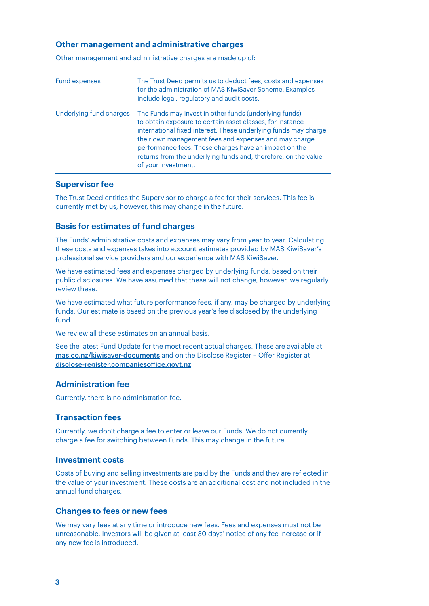#### **Other management and administrative charges**

| <b>Fund expenses</b>    | The Trust Deed permits us to deduct fees, costs and expenses<br>for the administration of MAS KiwiSaver Scheme. Examples<br>include legal, regulatory and audit costs.                                                                                                                                                                                                                            |
|-------------------------|---------------------------------------------------------------------------------------------------------------------------------------------------------------------------------------------------------------------------------------------------------------------------------------------------------------------------------------------------------------------------------------------------|
| Underlying fund charges | The Funds may invest in other funds (underlying funds)<br>to obtain exposure to certain asset classes, for instance<br>international fixed interest. These underlying funds may charge<br>their own management fees and expenses and may charge<br>performance fees. These charges have an impact on the<br>returns from the underlying funds and, therefore, on the value<br>of your investment. |

Other management and administrative charges are made up of:

#### **Supervisor fee**

The Trust Deed entitles the Supervisor to charge a fee for their services. This fee is currently met by us, however, this may change in the future.

#### **Basis for estimates of fund charges**

The Funds' administrative costs and expenses may vary from year to year. Calculating these costs and expenses takes into account estimates provided by MAS KiwiSaver's professional service providers and our experience with MAS KiwiSaver.

We have estimated fees and expenses charged by underlying funds, based on their public disclosures. We have assumed that these will not change, however, we regularly review these.

We have estimated what future performance fees, if any, may be charged by underlying funds. Our estimate is based on the previous year's fee disclosed by the underlying fund.

We review all these estimates on an annual basis.

See the latest Fund Update for the most recent actual charges. These are available at [mas.co.nz/kiwisaver-documents](http://mas.co.nz/kiwisaver-documents) and on the Disclose Register – Offer Register at [disclose-register.companiesoffice.govt.nz](http://disclose-register.companiesoffice.govt.nz)

#### **Administration fee**

Currently, there is no administration fee.

#### **Transaction fees**

Currently, we don't charge a fee to enter or leave our Funds. We do not currently charge a fee for switching between Funds. This may change in the future.

#### **Investment costs**

Costs of buying and selling investments are paid by the Funds and they are reflected in the value of your investment. These costs are an additional cost and not included in the annual fund charges.

#### **Changes to fees or new fees**

We may vary fees at any time or introduce new fees. Fees and expenses must not be unreasonable. Investors will be given at least 30 days' notice of any fee increase or if any new fee is introduced.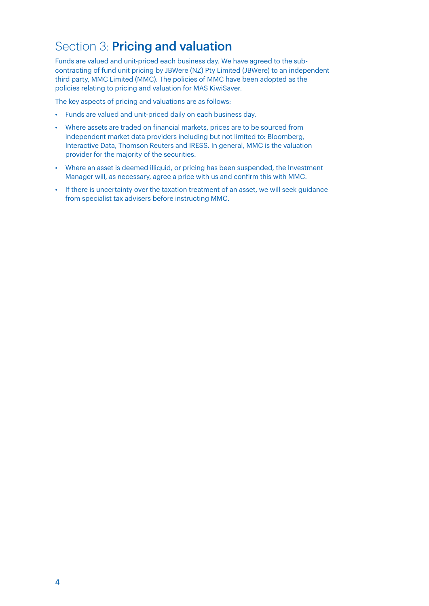# Section 3: Pricing and valuation

Funds are valued and unit-priced each business day. We have agreed to the subcontracting of fund unit pricing by JBWere (NZ) Pty Limited (JBWere) to an independent third party, MMC Limited (MMC). The policies of MMC have been adopted as the policies relating to pricing and valuation for MAS KiwiSaver.

The key aspects of pricing and valuations are as follows:

- Funds are valued and unit-priced daily on each business day.
- Where assets are traded on financial markets, prices are to be sourced from independent market data providers including but not limited to: Bloomberg, Interactive Data, Thomson Reuters and IRESS. In general, MMC is the valuation provider for the majority of the securities.
- Where an asset is deemed illiquid, or pricing has been suspended, the Investment Manager will, as necessary, agree a price with us and confirm this with MMC.
- If there is uncertainty over the taxation treatment of an asset, we will seek guidance from specialist tax advisers before instructing MMC.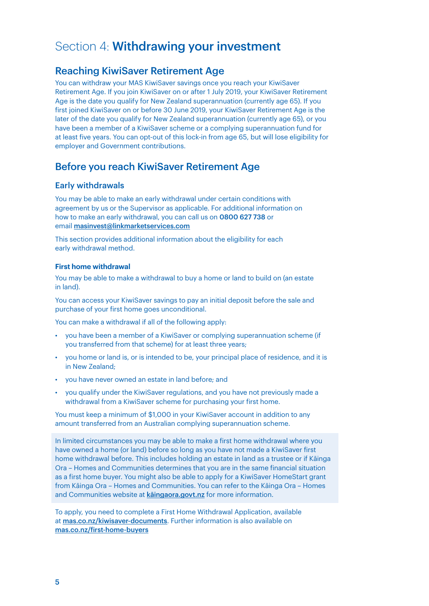# Section 4: Withdrawing your investment

### Reaching KiwiSaver Retirement Age

You can withdraw your MAS KiwiSaver savings once you reach your KiwiSaver Retirement Age. If you join KiwiSaver on or after 1 July 2019, your KiwiSaver Retirement Age is the date you qualify for New Zealand superannuation (currently age 65). If you first joined KiwiSaver on or before 30 June 2019, your KiwiSaver Retirement Age is the later of the date you qualify for New Zealand superannuation (currently age 65), or you have been a member of a KiwiSaver scheme or a complying superannuation fund for at least five years. You can opt-out of this lock-in from age 65, but will lose eligibility for employer and Government contributions.

### Before you reach KiwiSaver Retirement Age

### Early withdrawals

You may be able to make an early withdrawal under certain conditions with agreement by us or the Supervisor as applicable. For additional information on how to make an early withdrawal, you can call us on 0800 627 738 or email [masinvest@linkmarketservices.com](mailto:masinvest%40linkmarketservices.com?subject=)

This section provides additional information about the eligibility for each early withdrawal method.

#### **First home withdrawal**

You may be able to make a withdrawal to buy a home or land to build on (an estate in land).

You can access your KiwiSaver savings to pay an initial deposit before the sale and purchase of your first home goes unconditional.

You can make a withdrawal if all of the following apply:

- you have been a member of a KiwiSaver or complying superannuation scheme (if you transferred from that scheme) for at least three years;
- you home or land is, or is intended to be, your principal place of residence, and it is in New Zealand;
- you have never owned an estate in land before; and
- you qualify under the KiwiSaver regulations, and you have not previously made a withdrawal from a KiwiSaver scheme for purchasing your first home.

You must keep a minimum of \$1,000 in your KiwiSaver account in addition to any amount transferred from an Australian complying superannuation scheme.

In limited circumstances you may be able to make a first home withdrawal where you have owned a home (or land) before so long as you have not made a KiwiSaver first home withdrawal before. This includes holding an estate in land as a trustee or if Kāinga Ora – Homes and Communities determines that you are in the same financial situation as a first home buyer. You might also be able to apply for a KiwiSaver HomeStart grant from Kāinga Ora – Homes and Communities. You can refer to the Kāinga Ora – Homes and Communities website at [kāingaora.govt.nz](http://kaingaora.govt.nz) for more information.

To apply, you need to complete a First Home Withdrawal Application, available at [mas.co.nz/kiwisaver-documents](http://mas.co.nz/kiwisaver-documents). Further information is also available on [mas.co.nz/first-home-buyers](http://mas.co.nz/first-home-buyers)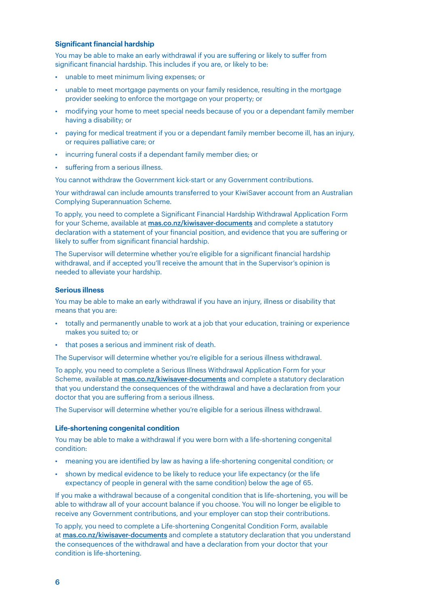#### **Significant financial hardship**

You may be able to make an early withdrawal if you are suffering or likely to suffer from significant financial hardship. This includes if you are, or likely to be:

- unable to meet minimum living expenses; or
- unable to meet mortgage payments on your family residence, resulting in the mortgage provider seeking to enforce the mortgage on your property; or
- modifying your home to meet special needs because of you or a dependant family member having a disability; or
- paying for medical treatment if you or a dependant family member become ill, has an injury, or requires palliative care; or
- incurring funeral costs if a dependant family member dies; or
- suffering from a serious illness.

You cannot withdraw the Government kick-start or any Government contributions.

Your withdrawal can include amounts transferred to your KiwiSaver account from an Australian Complying Superannuation Scheme.

To apply, you need to complete a Significant Financial Hardship Withdrawal Application Form for your Scheme, available at [mas.co.nz/kiwisaver-documents](http://mas.co.nz/kiwisaver-documents ) and complete a statutory declaration with a statement of your financial position, and evidence that you are suffering or likely to suffer from significant financial hardship.

The Supervisor will determine whether you're eligible for a significant financial hardship withdrawal, and if accepted you'll receive the amount that in the Supervisor's opinion is needed to alleviate your hardship.

#### **Serious illness**

You may be able to make an early withdrawal if you have an injury, illness or disability that means that you are:

- totally and permanently unable to work at a job that your education, training or experience makes you suited to; or
- that poses a serious and imminent risk of death.

The Supervisor will determine whether you're eligible for a serious illness withdrawal.

To apply, you need to complete a Serious Illness Withdrawal Application Form for your Scheme, available at **[mas.co.nz/kiwisaver-documents](http://mas.co.nz/kiwisaver-documents)** and complete a statutory declaration that you understand the consequences of the withdrawal and have a declaration from your doctor that you are suffering from a serious illness.

The Supervisor will determine whether you're eligible for a serious illness withdrawal.

#### **Life-shortening congenital condition**

You may be able to make a withdrawal if you were born with a life-shortening congenital condition:

- meaning you are identified by law as having a life-shortening congenital condition; or
- shown by medical evidence to be likely to reduce your life expectancy (or the life expectancy of people in general with the same condition) below the age of 65.

If you make a withdrawal because of a congenital condition that is life-shortening, you will be able to withdraw all of your account balance if you choose. You will no longer be eligible to receive any Government contributions, and your employer can stop their contributions.

To apply, you need to complete a Life-shortening Congenital Condition Form, available at [mas.co.nz/kiwisaver-documents](http://mas.co.nz/kiwisaver-documents) and complete a statutory declaration that you understand the consequences of the withdrawal and have a declaration from your doctor that your condition is life-shortening.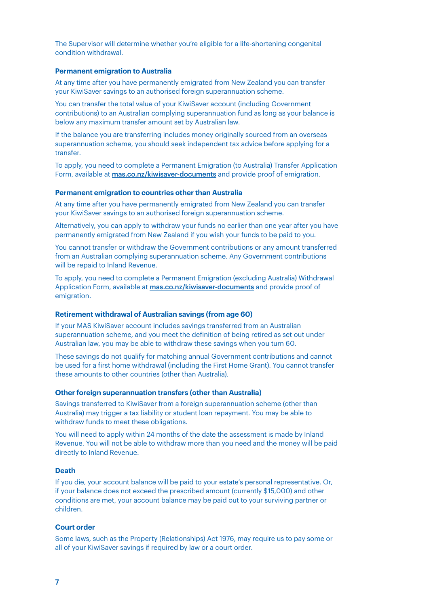The Supervisor will determine whether you're eligible for a life-shortening congenital condition withdrawal.

#### **Permanent emigration to Australia**

At any time after you have permanently emigrated from New Zealand you can transfer your KiwiSaver savings to an authorised foreign superannuation scheme.

You can transfer the total value of your KiwiSaver account (including Government contributions) to an Australian complying superannuation fund as long as your balance is below any maximum transfer amount set by Australian law.

If the balance you are transferring includes money originally sourced from an overseas superannuation scheme, you should seek independent tax advice before applying for a transfer.

To apply, you need to complete a Permanent Emigration (to Australia) Transfer Application Form, available at **[mas.co.nz/kiwisaver-documents](http://mas.co.nz/kiwisaver-documents)** and provide proof of emigration.

#### **Permanent emigration to countries other than Australia**

At any time after you have permanently emigrated from New Zealand you can transfer your KiwiSaver savings to an authorised foreign superannuation scheme.

Alternatively, you can apply to withdraw your funds no earlier than one year after you have permanently emigrated from New Zealand if you wish your funds to be paid to you.

You cannot transfer or withdraw the Government contributions or any amount transferred from an Australian complying superannuation scheme. Any Government contributions will be repaid to Inland Revenue.

To apply, you need to complete a Permanent Emigration (excluding Australia) Withdrawal Application Form, available at [mas.co.nz/kiwisaver-documents](http://mas.co.nz/kiwisaver-documents) and provide proof of emigration.

#### **Retirement withdrawal of Australian savings (from age 60)**

If your MAS KiwiSaver account includes savings transferred from an Australian superannuation scheme, and you meet the definition of being retired as set out under Australian law, you may be able to withdraw these savings when you turn 60.

These savings do not qualify for matching annual Government contributions and cannot be used for a first home withdrawal (including the First Home Grant). You cannot transfer these amounts to other countries (other than Australia).

#### **Other foreign superannuation transfers (other than Australia)**

Savings transferred to KiwiSaver from a foreign superannuation scheme (other than Australia) may trigger a tax liability or student loan repayment. You may be able to withdraw funds to meet these obligations.

You will need to apply within 24 months of the date the assessment is made by Inland Revenue. You will not be able to withdraw more than you need and the money will be paid directly to Inland Revenue.

#### **Death**

If you die, your account balance will be paid to your estate's personal representative. Or, if your balance does not exceed the prescribed amount (currently \$15,000) and other conditions are met, your account balance may be paid out to your surviving partner or children.

#### **Court order**

Some laws, such as the Property (Relationships) Act 1976, may require us to pay some or all of your KiwiSaver savings if required by law or a court order.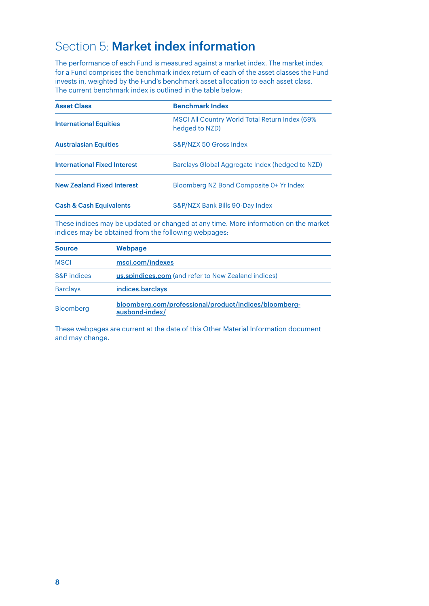# Section 5: Market index information

The performance of each Fund is measured against a market index. The market index for a Fund comprises the benchmark index return of each of the asset classes the Fund invests in, weighted by the Fund's benchmark asset allocation to each asset class. The current benchmark index is outlined in the table below:

| <b>Asset Class</b>                  | <b>Benchmark Index</b>                                           |
|-------------------------------------|------------------------------------------------------------------|
| <b>International Equities</b>       | MSCI All Country World Total Return Index (69%<br>hedged to NZD) |
| <b>Australasian Equities</b>        | S&P/NZX 50 Gross Index                                           |
| <b>International Fixed Interest</b> | Barclays Global Aggregate Index (hedged to NZD)                  |
| <b>New Zealand Fixed Interest</b>   | Bloomberg NZ Bond Composite 0+ Yr Index                          |
| <b>Cash &amp; Cash Equivalents</b>  | S&P/NZX Bank Bills 90-Day Index                                  |

These indices may be updated or changed at any time. More information on the market indices may be obtained from the following webpages:

| <b>Source</b>   | Webpage                                                                 |  |
|-----------------|-------------------------------------------------------------------------|--|
| <b>MSCI</b>     | msci.com/indexes                                                        |  |
| S&P indices     | us.spindices.com (and refer to New Zealand indices)                     |  |
| <b>Barclays</b> | indices.barclays                                                        |  |
| Bloomberg       | bloomberg.com/professional/product/indices/bloomberg-<br>ausbond-index/ |  |

These webpages are current at the date of this Other Material Information document and may change.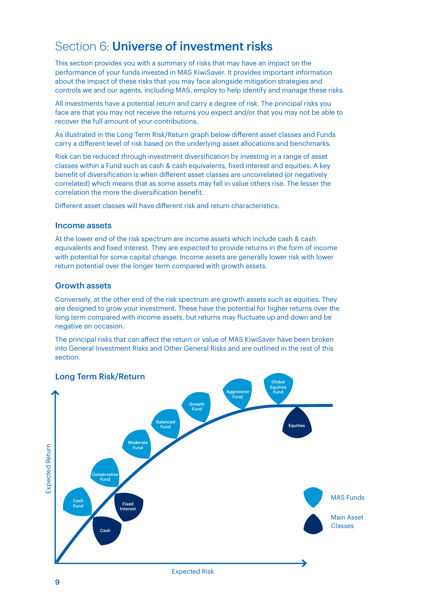### Section 6: Universe of investment risks

This section provides you with a summary of risks that may have an impact on the performance of your funds invested in MAS KiwiSaver. It provides important information about the impact of these risks that you may face alongside mitigation strategies and controls we and our agents, including MAS, employ to help identify and manage these risks.

All investments have a potential return and carry a degree of risk. The principal risks you face are that you may not receive the returns you expect and/or that you may not be able to recover the full amount of your contributions.

As illustrated in the Long Term Risk/Return graph below different asset classes and Funds carry a different level of risk based on the underlying asset allocations and benchmarks.

Risk can be reduced through investment diversification by investing in a range of asset classes within a Fund such as cash & cash equivalents, fixed interest and equities. A key benefit of diversification is when different asset classes are uncorrelated (or negatively correlated) which means that as some assets may fall in value others rise. The lesser the correlation the more the diversification benefit.

Different asset classes will have different risk and return characteristics.

#### Income assets

At the lower end of the risk spectrum are income assets which include cash & cash equivalents and fixed interest. They are expected to provide returns in the form of income with potential for some capital change. Income assets are generally lower risk with lower return potential over the longer term compared with growth assets.

#### Growth assets

Conversely, at the other end of the risk spectrum are growth assets such as equities. They are designed to grow your investment. These have the potential for higher returns over the long term compared with income assets, but returns may fluctuate up and down and be negative on occasion.

The principal risks that can affect the return or value of MAS KiwiSaver have been broken into General Investment Risks and Other General Risks and are outlined in the rest of this section.

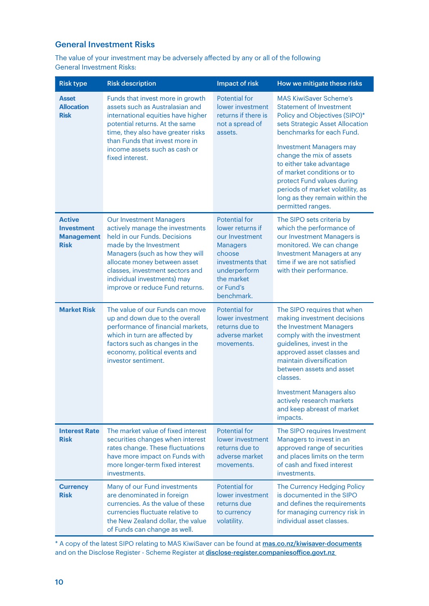### General Investment Risks

The value of your investment may be adversely affected by any or all of the following General Investment Risks:

| <b>Risk type</b>                                                       | <b>Risk description</b>                                                                                                                                                                                                                                                                             | Impact of risk                                                                                                                                                       | How we mitigate these risks                                                                                                                                                                                                                                                                                                                                                                                       |
|------------------------------------------------------------------------|-----------------------------------------------------------------------------------------------------------------------------------------------------------------------------------------------------------------------------------------------------------------------------------------------------|----------------------------------------------------------------------------------------------------------------------------------------------------------------------|-------------------------------------------------------------------------------------------------------------------------------------------------------------------------------------------------------------------------------------------------------------------------------------------------------------------------------------------------------------------------------------------------------------------|
| <b>Asset</b><br><b>Allocation</b><br><b>Risk</b>                       | Funds that invest more in growth<br>assets such as Australasian and<br>international equities have higher<br>potential returns. At the same<br>time, they also have greater risks<br>than Funds that invest more in<br>income assets such as cash or<br>fixed interest.                             | Potential for<br>lower investment<br>returns if there is<br>not a spread of<br>assets.                                                                               | <b>MAS KiwiSaver Scheme's</b><br><b>Statement of Investment</b><br>Policy and Objectives (SIPO)*<br>sets Strategic Asset Allocation<br>benchmarks for each Fund.<br><b>Investment Managers may</b><br>change the mix of assets<br>to either take advantage<br>of market conditions or to<br>protect Fund values during<br>periods of market volatility, as<br>long as they remain within the<br>permitted ranges. |
| <b>Active</b><br><b>Investment</b><br><b>Management</b><br><b>Risk</b> | <b>Our Investment Managers</b><br>actively manage the investments<br>held in our Funds. Decisions<br>made by the Investment<br>Managers (such as how they will<br>allocate money between asset<br>classes, investment sectors and<br>individual investments) may<br>improve or reduce Fund returns. | <b>Potential for</b><br>lower returns if<br>our Investment<br><b>Managers</b><br>choose<br>investments that<br>underperform<br>the market<br>or Fund's<br>benchmark. | The SIPO sets criteria by<br>which the performance of<br>our Investment Managers is<br>monitored. We can change<br><b>Investment Managers at any</b><br>time if we are not satisfied<br>with their performance.                                                                                                                                                                                                   |
| <b>Market Risk</b>                                                     | The value of our Funds can move<br>up and down due to the overall<br>performance of financial markets,<br>which in turn are affected by<br>factors such as changes in the<br>economy, political events and<br>investor sentiment.                                                                   | <b>Potential for</b><br>lower investment<br>returns due to<br>adverse market<br>movements.                                                                           | The SIPO requires that when<br>making investment decisions<br>the Investment Managers<br>comply with the investment<br>guidelines, invest in the<br>approved asset classes and<br>maintain diversification<br>between assets and asset<br>classes.<br><b>Investment Managers also</b><br>actively research markets<br>and keep abreast of market<br>impacts.                                                      |
| <b>Interest Rate</b><br><b>Risk</b>                                    | The market value of fixed interest<br>securities changes when interest<br>rates change. These fluctuations<br>have more impact on Funds with<br>more longer-term fixed interest<br>investments.                                                                                                     | Potential for<br>lower investment<br>returns due to<br>adverse market<br>movements.                                                                                  | The SIPO requires Investment<br>Managers to invest in an<br>approved range of securities<br>and places limits on the term<br>of cash and fixed interest<br>investments.                                                                                                                                                                                                                                           |
| <b>Currency</b><br><b>Risk</b>                                         | Many of our Fund investments<br>are denominated in foreign<br>currencies. As the value of these<br>currencies fluctuate relative to<br>the New Zealand dollar, the value<br>of Funds can change as well.                                                                                            | Potential for<br>lower investment<br>returns due<br>to currency<br>volatility.                                                                                       | The Currency Hedging Policy<br>is documented in the SIPO<br>and defines the requirements<br>for managing currency risk in<br>individual asset classes.                                                                                                                                                                                                                                                            |

\* A copy of the latest SIPO relating to MAS KiwiSaver can be found at **[mas.co.nz/kiwisaver-documents](http://mas.co.nz/kiwisaver-documents)** and on the Disclose Register - Scheme Register at **disclose-register.companiesoffice.govt.nz**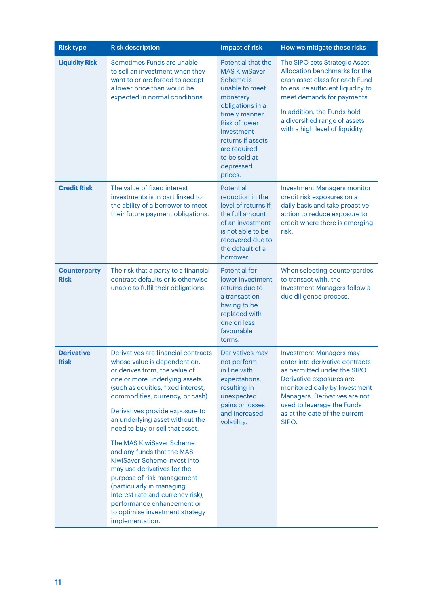| <b>Risk type</b>                   | <b>Risk description</b>                                                                                                                                                                                                                                                                                                                                                                                                                                                         | Impact of risk                                                                                                                                                                                                                                  | How we mitigate these risks                                                                                                                                                                                                                                             |
|------------------------------------|---------------------------------------------------------------------------------------------------------------------------------------------------------------------------------------------------------------------------------------------------------------------------------------------------------------------------------------------------------------------------------------------------------------------------------------------------------------------------------|-------------------------------------------------------------------------------------------------------------------------------------------------------------------------------------------------------------------------------------------------|-------------------------------------------------------------------------------------------------------------------------------------------------------------------------------------------------------------------------------------------------------------------------|
| <b>Liquidity Risk</b>              | Sometimes Funds are unable<br>to sell an investment when they<br>want to or are forced to accept<br>a lower price than would be<br>expected in normal conditions.                                                                                                                                                                                                                                                                                                               | Potential that the<br><b>MAS KiwiSaver</b><br>Scheme is<br>unable to meet<br>monetary<br>obligations in a<br>timely manner.<br><b>Risk of lower</b><br>investment<br>returns if assets<br>are required<br>to be sold at<br>depressed<br>prices. | The SIPO sets Strategic Asset<br>Allocation benchmarks for the<br>cash asset class for each Fund<br>to ensure sufficient liquidity to<br>meet demands for payments.<br>In addition, the Funds hold<br>a diversified range of assets<br>with a high level of liquidity.  |
| <b>Credit Risk</b>                 | The value of fixed interest<br>investments is in part linked to<br>the ability of a borrower to meet<br>their future payment obligations.                                                                                                                                                                                                                                                                                                                                       | Potential<br>reduction in the<br>level of returns if<br>the full amount<br>of an investment<br>is not able to be<br>recovered due to<br>the default of a<br>borrower.                                                                           | <b>Investment Managers monitor</b><br>credit risk exposures on a<br>daily basis and take proactive<br>action to reduce exposure to<br>credit where there is emerging<br>risk.                                                                                           |
| <b>Counterparty</b><br><b>Risk</b> | The risk that a party to a financial<br>contract defaults or is otherwise<br>unable to fulfil their obligations.                                                                                                                                                                                                                                                                                                                                                                | <b>Potential for</b><br>lower investment<br>returns due to<br>a transaction<br>having to be<br>replaced with<br>one on less<br>favourable<br>terms.                                                                                             | When selecting counterparties<br>to transact with, the<br><b>Investment Managers follow a</b><br>due diligence process.                                                                                                                                                 |
| <b>Derivative</b><br><b>Risk</b>   | Derivatives are financial contracts<br>whose value is dependent on,<br>or derives from, the value of<br>one or more underlying assets<br>(such as equities, fixed interest,<br>commodities, currency, or cash).<br>Derivatives provide exposure to<br>an underlying asset without the<br>need to buy or sell that asset.<br>The MAS KiwiSaver Scheme<br>and any funds that the MAS<br>KiwiSaver Scheme invest into<br>may use derivatives for the<br>purpose of risk management | Derivatives may<br>not perform<br>in line with<br>expectations,<br>resulting in<br>unexpected<br>gains or losses<br>and increased<br>volatility.                                                                                                | <b>Investment Managers may</b><br>enter into derivative contracts<br>as permitted under the SIPO.<br>Derivative exposures are<br>monitored daily by Investment<br>Managers. Derivatives are not<br>used to leverage the Funds<br>as at the date of the current<br>SIPO. |
|                                    | (particularly in managing<br>interest rate and currency risk),<br>performance enhancement or<br>to optimise investment strategy<br>implementation.                                                                                                                                                                                                                                                                                                                              |                                                                                                                                                                                                                                                 |                                                                                                                                                                                                                                                                         |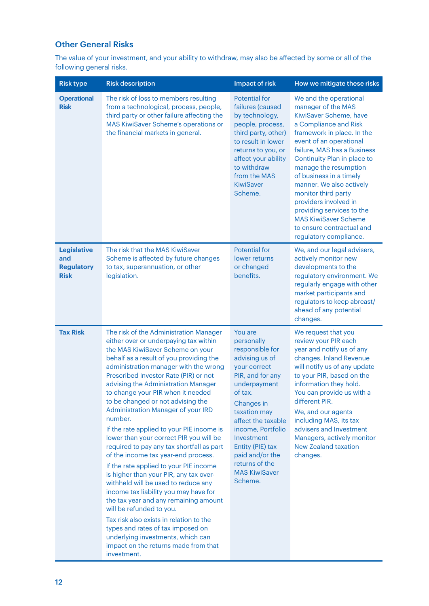### Other General Risks

The value of your investment, and your ability to withdraw, may also be affected by some or all of the following general risks.

| <b>Risk type</b>                                              | <b>Risk description</b>                                                                                                                                                                                                                                                                                                                                                                                                                                                                                                                                                                                                                                                                                                                                                                                                                                                                                                                                                                                             | <b>Impact of risk</b>                                                                                                                                                                                                                                                                                        | How we mitigate these risks                                                                                                                                                                                                                                                                                                                                                                                                                                               |
|---------------------------------------------------------------|---------------------------------------------------------------------------------------------------------------------------------------------------------------------------------------------------------------------------------------------------------------------------------------------------------------------------------------------------------------------------------------------------------------------------------------------------------------------------------------------------------------------------------------------------------------------------------------------------------------------------------------------------------------------------------------------------------------------------------------------------------------------------------------------------------------------------------------------------------------------------------------------------------------------------------------------------------------------------------------------------------------------|--------------------------------------------------------------------------------------------------------------------------------------------------------------------------------------------------------------------------------------------------------------------------------------------------------------|---------------------------------------------------------------------------------------------------------------------------------------------------------------------------------------------------------------------------------------------------------------------------------------------------------------------------------------------------------------------------------------------------------------------------------------------------------------------------|
| <b>Operational</b><br><b>Risk</b>                             | The risk of loss to members resulting<br>from a technological, process, people,<br>third party or other failure affecting the<br>MAS KiwiSaver Scheme's operations or<br>the financial markets in general.                                                                                                                                                                                                                                                                                                                                                                                                                                                                                                                                                                                                                                                                                                                                                                                                          | <b>Potential for</b><br>failures (caused<br>by technology,<br>people, process,<br>third party, other)<br>to result in lower<br>returns to you, or<br>affect your ability<br>to withdraw<br>from the MAS<br><b>KiwiSaver</b><br>Scheme.                                                                       | We and the operational<br>manager of the MAS<br>KiwiSaver Scheme, have<br>a Compliance and Risk<br>framework in place. In the<br>event of an operational<br>failure, MAS has a Business<br>Continuity Plan in place to<br>manage the resumption<br>of business in a timely<br>manner. We also actively<br>monitor third party<br>providers involved in<br>providing services to the<br><b>MAS KiwiSaver Scheme</b><br>to ensure contractual and<br>regulatory compliance. |
| <b>Legislative</b><br>and<br><b>Regulatory</b><br><b>Risk</b> | The risk that the MAS KiwiSaver<br>Scheme is affected by future changes<br>to tax, superannuation, or other<br>legislation.                                                                                                                                                                                                                                                                                                                                                                                                                                                                                                                                                                                                                                                                                                                                                                                                                                                                                         | <b>Potential for</b><br>lower returns<br>or changed<br>benefits.                                                                                                                                                                                                                                             | We, and our legal advisers,<br>actively monitor new<br>developments to the<br>regulatory environment. We<br>regularly engage with other<br>market participants and<br>regulators to keep abreast/<br>ahead of any potential<br>changes.                                                                                                                                                                                                                                   |
| <b>Tax Risk</b>                                               | The risk of the Administration Manager<br>either over or underpaying tax within<br>the MAS KiwiSaver Scheme on your<br>behalf as a result of you providing the<br>administration manager with the wrong<br>Prescribed Investor Rate (PIR) or not<br>advising the Administration Manager<br>to change your PIR when it needed<br>to be changed or not advising the<br>Administration Manager of your IRD<br>number.<br>If the rate applied to your PIE income is<br>lower than your correct PIR you will be<br>required to pay any tax shortfall as part<br>of the income tax year-end process.<br>If the rate applied to your PIE income<br>is higher than your PIR, any tax over-<br>withheld will be used to reduce any<br>income tax liability you may have for<br>the tax year and any remaining amount<br>will be refunded to you.<br>Tax risk also exists in relation to the<br>types and rates of tax imposed on<br>underlying investments, which can<br>impact on the returns made from that<br>investment. | You are<br>personally<br>responsible for<br>advising us of<br>your correct<br>PIR, and for any<br>underpayment<br>of tax.<br>Changes in<br>taxation may<br>affect the taxable<br>income, Portfolio<br>Investment<br>Entity (PIE) tax<br>paid and/or the<br>returns of the<br><b>MAS KiwiSaver</b><br>Scheme. | We request that you<br>review your PIR each<br>year and notify us of any<br>changes. Inland Revenue<br>will notify us of any update<br>to your PIR, based on the<br>information they hold.<br>You can provide us with a<br>different PIR.<br>We, and our agents<br>including MAS, its tax<br>advisers and Investment<br>Managers, actively monitor<br><b>New Zealand taxation</b><br>changes.                                                                             |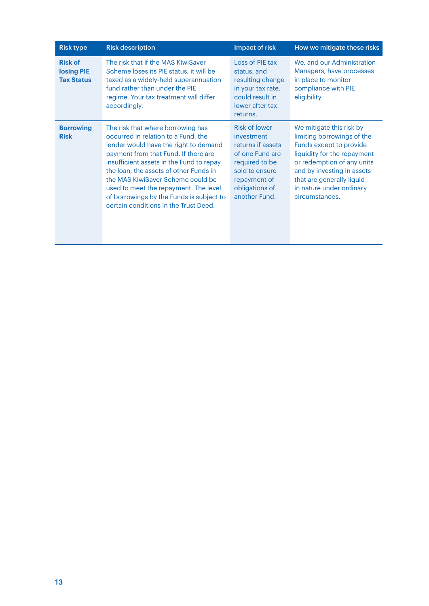| <b>Risk type</b>                                         | <b>Risk description</b>                                                                                                                                                                                                                                                                                                                                                                                            | Impact of risk                                                                                                                                                    | How we mitigate these risks                                                                                                                                                                                                                             |
|----------------------------------------------------------|--------------------------------------------------------------------------------------------------------------------------------------------------------------------------------------------------------------------------------------------------------------------------------------------------------------------------------------------------------------------------------------------------------------------|-------------------------------------------------------------------------------------------------------------------------------------------------------------------|---------------------------------------------------------------------------------------------------------------------------------------------------------------------------------------------------------------------------------------------------------|
| <b>Risk of</b><br><b>losing PIE</b><br><b>Tax Status</b> | The risk that if the MAS KiwiSaver<br>Scheme loses its PIE status, it will be<br>taxed as a widely-held superannuation<br>fund rather than under the PIE<br>regime. Your tax treatment will differ<br>accordingly.                                                                                                                                                                                                 | Loss of PIE tax<br>status, and<br>resulting change<br>in your tax rate,<br>could result in<br>lower after tax<br>returns.                                         | We, and our Administration<br>Managers, have processes<br>in place to monitor<br>compliance with PIE<br>eligibility.                                                                                                                                    |
| <b>Borrowing</b><br><b>Risk</b>                          | The risk that where borrowing has<br>occurred in relation to a Fund, the<br>lender would have the right to demand<br>payment from that Fund. If there are<br>insufficient assets in the Fund to repay<br>the loan, the assets of other Funds in<br>the MAS KiwiSaver Scheme could be<br>used to meet the repayment. The level<br>of borrowings by the Funds is subject to<br>certain conditions in the Trust Deed. | <b>Risk of lower</b><br>investment<br>returns if assets<br>of one Fund are<br>required to be<br>sold to ensure<br>repayment of<br>obligations of<br>another Fund. | We mitigate this risk by<br>limiting borrowings of the<br>Funds except to provide<br>liquidity for the repayment<br>or redemption of any units<br>and by investing in assets<br>that are generally liquid<br>in nature under ordinary<br>circumstances. |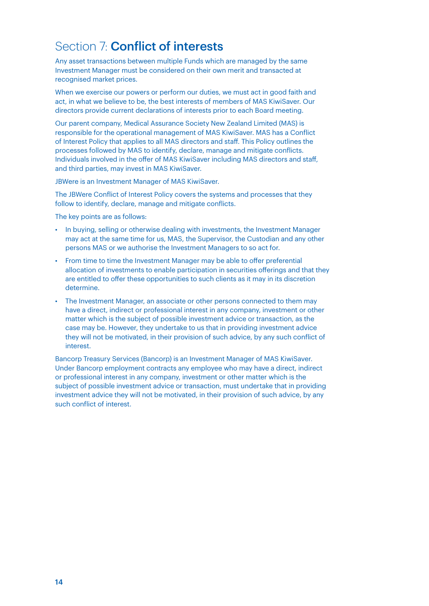# Section 7: **Conflict of interests**

Any asset transactions between multiple Funds which are managed by the same Investment Manager must be considered on their own merit and transacted at recognised market prices.

When we exercise our powers or perform our duties, we must act in good faith and act, in what we believe to be, the best interests of members of MAS KiwiSaver. Our directors provide current declarations of interests prior to each Board meeting.

Our parent company, Medical Assurance Society New Zealand Limited (MAS) is responsible for the operational management of MAS KiwiSaver. MAS has a Conflict of Interest Policy that applies to all MAS directors and staff. This Policy outlines the processes followed by MAS to identify, declare, manage and mitigate conflicts. Individuals involved in the offer of MAS KiwiSaver including MAS directors and staff, and third parties, may invest in MAS KiwiSaver.

JBWere is an Investment Manager of MAS KiwiSaver.

The JBWere Conflict of Interest Policy covers the systems and processes that they follow to identify, declare, manage and mitigate conflicts.

The key points are as follows:

- In buying, selling or otherwise dealing with investments, the Investment Manager may act at the same time for us, MAS, the Supervisor, the Custodian and any other persons MAS or we authorise the Investment Managers to so act for.
- From time to time the Investment Manager may be able to offer preferential allocation of investments to enable participation in securities offerings and that they are entitled to offer these opportunities to such clients as it may in its discretion determine.
- The Investment Manager, an associate or other persons connected to them may have a direct, indirect or professional interest in any company, investment or other matter which is the subject of possible investment advice or transaction, as the case may be. However, they undertake to us that in providing investment advice they will not be motivated, in their provision of such advice, by any such conflict of interest.

Bancorp Treasury Services (Bancorp) is an Investment Manager of MAS KiwiSaver. Under Bancorp employment contracts any employee who may have a direct, indirect or professional interest in any company, investment or other matter which is the subject of possible investment advice or transaction, must undertake that in providing investment advice they will not be motivated, in their provision of such advice, by any such conflict of interest.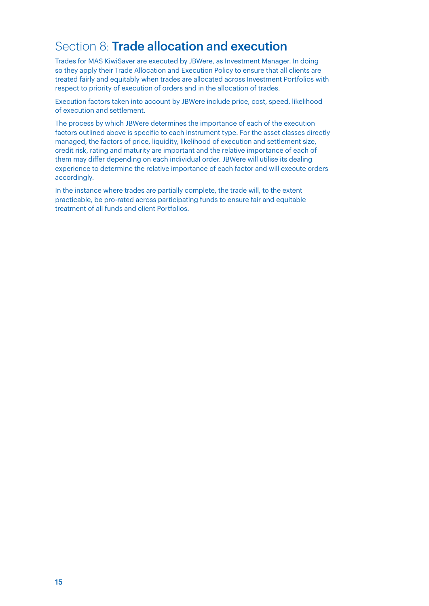### Section 8: Trade allocation and execution

Trades for MAS KiwiSaver are executed by JBWere, as Investment Manager. In doing so they apply their Trade Allocation and Execution Policy to ensure that all clients are treated fairly and equitably when trades are allocated across Investment Portfolios with respect to priority of execution of orders and in the allocation of trades.

Execution factors taken into account by JBWere include price, cost, speed, likelihood of execution and settlement.

The process by which JBWere determines the importance of each of the execution factors outlined above is specific to each instrument type. For the asset classes directly managed, the factors of price, liquidity, likelihood of execution and settlement size, credit risk, rating and maturity are important and the relative importance of each of them may differ depending on each individual order. JBWere will utilise its dealing experience to determine the relative importance of each factor and will execute orders accordingly.

In the instance where trades are partially complete, the trade will, to the extent practicable, be pro-rated across participating funds to ensure fair and equitable treatment of all funds and client Portfolios.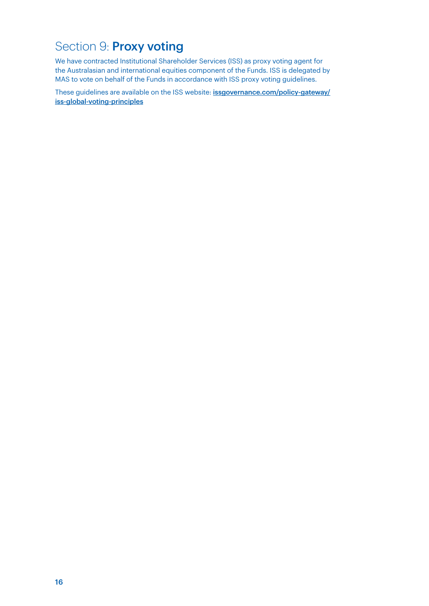# Section 9: **Proxy voting**

We have contracted Institutional Shareholder Services (ISS) as proxy voting agent for the Australasian and international equities component of the Funds. ISS is delegated by MAS to vote on behalf of the Funds in accordance with ISS proxy voting guidelines.

These guidelines are available on the ISS website: **[issgovernance.com/policy-gateway/](https://www.issgovernance.com/policy-gateway/iss-global-voting-principles/)** [iss-global-voting-principles](https://www.issgovernance.com/policy-gateway/iss-global-voting-principles/)